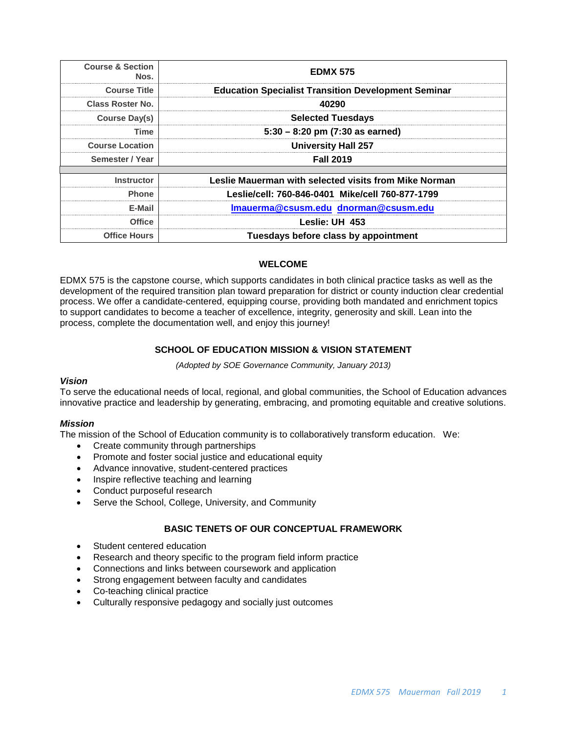| <b>Course &amp; Section</b><br>Nos. | <b>EDMX 575</b>                                            |  |
|-------------------------------------|------------------------------------------------------------|--|
| <b>Course Title</b>                 | <b>Education Specialist Transition Development Seminar</b> |  |
| Class Roster No.                    | 40290                                                      |  |
| Course Day(s)                       | <b>Selected Tuesdays</b>                                   |  |
| Time                                | $5:30 - 8:20$ pm (7:30 as earned)                          |  |
| <b>Course Location</b>              | <b>University Hall 257</b>                                 |  |
| Semester / Year                     | <b>Fall 2019</b>                                           |  |
| <b>Instructor</b>                   | Leslie Mauerman with selected visits from Mike Norman      |  |
| <b>Phone</b>                        | Leslie/cell: 760-846-0401 Mike/cell 760-877-1799           |  |
| E-Mail                              | Imauerma@csusm.edu dnorman@csusm.edu                       |  |
| <b>Office</b>                       | Leslie: UH 453                                             |  |
| <b>Office Hours</b>                 | Tuesdays before class by appointment                       |  |

## **WELCOME**

EDMX 575 is the capstone course, which supports candidates in both clinical practice tasks as well as the development of the required transition plan toward preparation for district or county induction clear credential process. We offer a candidate-centered, equipping course, providing both mandated and enrichment topics to support candidates to become a teacher of excellence, integrity, generosity and skill. Lean into the process, complete the documentation well, and enjoy this journey!

## **SCHOOL OF EDUCATION MISSION & VISION STATEMENT**

*(Adopted by SOE Governance Community, January 2013)*

## *Vision*

To serve the educational needs of local, regional, and global communities, the School of Education advances innovative practice and leadership by generating, embracing, and promoting equitable and creative solutions.

## *Mission*

The mission of the School of Education community is to collaboratively transform education. We:

- Create community through partnerships
- Promote and foster social justice and educational equity
- Advance innovative, student-centered practices
- Inspire reflective teaching and learning
- Conduct purposeful research
- Serve the School, College, University, and Community

## **BASIC TENETS OF OUR CONCEPTUAL FRAMEWORK**

- Student centered education
- Research and theory specific to the program field inform practice
- Connections and links between coursework and application
- Strong engagement between faculty and candidates
- Co-teaching clinical practice
- Culturally responsive pedagogy and socially just outcomes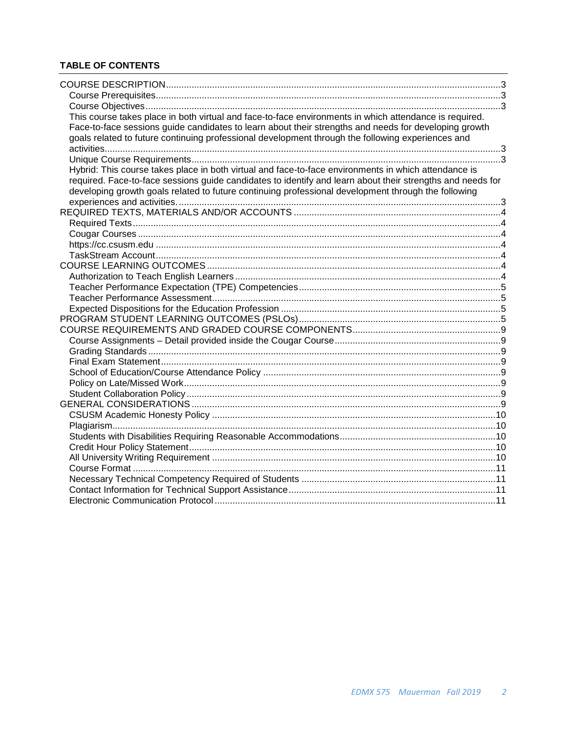# **TABLE OF CONTENTS**

| This course takes place in both virtual and face-to-face environments in which attendance is required.     |  |
|------------------------------------------------------------------------------------------------------------|--|
| Face-to-face sessions guide candidates to learn about their strengths and needs for developing growth      |  |
| goals related to future continuing professional development through the following experiences and          |  |
|                                                                                                            |  |
|                                                                                                            |  |
| Hybrid: This course takes place in both virtual and face-to-face environments in which attendance is       |  |
| required. Face-to-face sessions guide candidates to identify and learn about their strengths and needs for |  |
| developing growth goals related to future continuing professional development through the following        |  |
|                                                                                                            |  |
|                                                                                                            |  |
|                                                                                                            |  |
|                                                                                                            |  |
|                                                                                                            |  |
|                                                                                                            |  |
|                                                                                                            |  |
|                                                                                                            |  |
|                                                                                                            |  |
|                                                                                                            |  |
|                                                                                                            |  |
|                                                                                                            |  |
|                                                                                                            |  |
|                                                                                                            |  |
|                                                                                                            |  |
|                                                                                                            |  |
|                                                                                                            |  |
|                                                                                                            |  |
|                                                                                                            |  |
|                                                                                                            |  |
|                                                                                                            |  |
|                                                                                                            |  |
|                                                                                                            |  |
|                                                                                                            |  |
|                                                                                                            |  |
|                                                                                                            |  |
|                                                                                                            |  |
|                                                                                                            |  |
|                                                                                                            |  |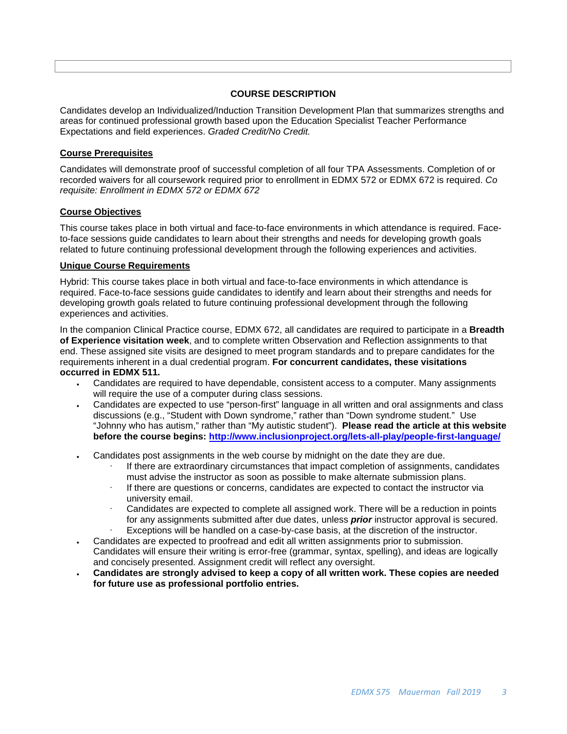## **COURSE DESCRIPTION**

<span id="page-2-0"></span>Candidates develop an Individualized/Induction Transition Development Plan that summarizes strengths and areas for continued professional growth based upon the Education Specialist Teacher Performance Expectations and field experiences. *Graded Credit/No Credit.*

## <span id="page-2-1"></span>**Course Prerequisites**

Candidates will demonstrate proof of successful completion of all four TPA Assessments. Completion of or recorded waivers for all coursework required prior to enrollment in EDMX 572 or EDMX 672 is required. *Co requisite: Enrollment in EDMX 572 or EDMX 672*

## <span id="page-2-2"></span>**Course Objectives**

<span id="page-2-3"></span>This course takes place in both virtual and face-to-face environments in which attendance is required. Faceto-face sessions guide candidates to learn about their strengths and needs for developing growth goals related to future continuing professional development through the following experiences and activities.

## <span id="page-2-4"></span>**Unique Course Requirements**

<span id="page-2-5"></span>Hybrid: This course takes place in both virtual and face-to-face environments in which attendance is required. Face-to-face sessions guide candidates to identify and learn about their strengths and needs for developing growth goals related to future continuing professional development through the following experiences and activities.

In the companion Clinical Practice course, EDMX 672, all candidates are required to participate in a **Breadth of Experience visitation week**, and to complete written Observation and Reflection assignments to that end. These assigned site visits are designed to meet program standards and to prepare candidates for the requirements inherent in a dual credential program. **For concurrent candidates, these visitations occurred in EDMX 511.** 

- Candidates are required to have dependable, consistent access to a computer. Many assignments will require the use of a computer during class sessions.
- Candidates are expected to use "person-first" language in all written and oral assignments and class discussions (e.g., "Student with Down syndrome," rather than "Down syndrome student." Use "Johnny who has autism," rather than "My autistic student"). **Please read the article at this website before the course begins:<http://www.inclusionproject.org/lets-all-play/people-first-language/>**
- Candidates post assignments in the web course by midnight on the date they are due.
	- If there are extraordinary circumstances that impact completion of assignments, candidates must advise the instructor as soon as possible to make alternate submission plans.
	- If there are questions or concerns, candidates are expected to contact the instructor via university email.
	- Candidates are expected to complete all assigned work. There will be a reduction in points for any assignments submitted after due dates, unless *prior* instructor approval is secured.
	- Exceptions will be handled on a case-by-case basis, at the discretion of the instructor.
- Candidates are expected to proofread and edit all written assignments prior to submission. Candidates will ensure their writing is error-free (grammar, syntax, spelling), and ideas are logically and concisely presented. Assignment credit will reflect any oversight.
- **Candidates are strongly advised to keep a copy of all written work. These copies are needed for future use as professional portfolio entries.**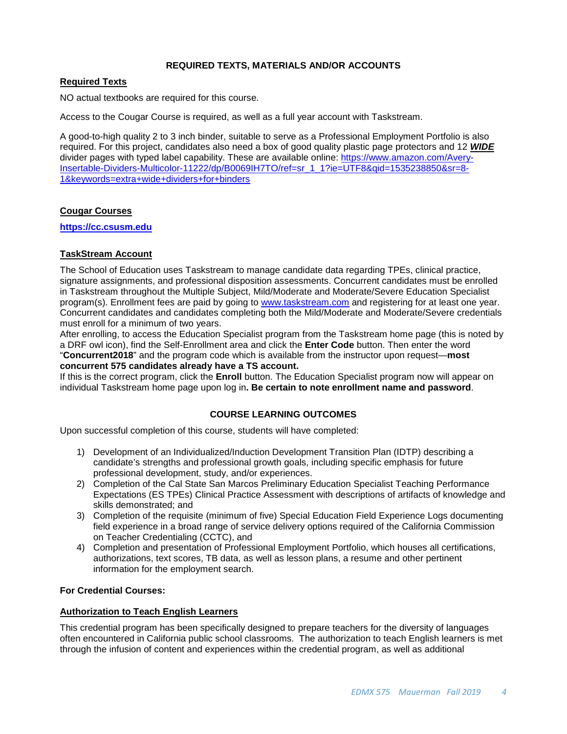## **REQUIRED TEXTS, MATERIALS AND/OR ACCOUNTS**

## <span id="page-3-1"></span><span id="page-3-0"></span>**Required Texts**

NO actual textbooks are required for this course.

Access to the Cougar Course is required, as well as a full year account with Taskstream.

A good-to-high quality 2 to 3 inch binder, suitable to serve as a Professional Employment Portfolio is also required. For this project, candidates also need a box of good quality plastic page protectors and 12 *WIDE* divider pages with typed label capability. These are available online: [https://www.amazon.com/Avery-](https://www.amazon.com/Avery-Insertable-Dividers-Multicolor-11222/dp/B0069IH7TO/ref=sr_1_1?ie=UTF8&qid=1535238850&sr=8-1&keywords=extra+wide+dividers+for+binders)[Insertable-Dividers-Multicolor-11222/dp/B0069IH7TO/ref=sr\\_1\\_1?ie=UTF8&qid=1535238850&sr=8-](https://www.amazon.com/Avery-Insertable-Dividers-Multicolor-11222/dp/B0069IH7TO/ref=sr_1_1?ie=UTF8&qid=1535238850&sr=8-1&keywords=extra+wide+dividers+for+binders) [1&keywords=extra+wide+dividers+for+binders](https://www.amazon.com/Avery-Insertable-Dividers-Multicolor-11222/dp/B0069IH7TO/ref=sr_1_1?ie=UTF8&qid=1535238850&sr=8-1&keywords=extra+wide+dividers+for+binders)

## <span id="page-3-2"></span>**Cougar Courses**

<span id="page-3-3"></span>**[https://cc.csusm.edu](https://cc.csusm.edu/)**

## <span id="page-3-4"></span>**TaskStream Account**

The School of Education uses Taskstream to manage candidate data regarding TPEs, clinical practice, signature assignments, and professional disposition assessments. Concurrent candidates must be enrolled in Taskstream throughout the Multiple Subject, Mild/Moderate and Moderate/Severe Education Specialist program(s). Enrollment fees are paid by going to [www.taskstream.com](https://copilot.csusm.edu/owa/redir.aspx?C=JQGRF98_YUaQtaUmRLCQfVWnwmJwxs9IDInTVMhk81xWIUA7hRT2uY6jlnFWAAXDSUJtKsld_Qs.&URL=http%3a%2f%2fwww.taskstrem.com) and registering for at least one year. Concurrent candidates and candidates completing both the Mild/Moderate and Moderate/Severe credentials must enroll for a minimum of two years.

After enrolling, to access the Education Specialist program from the Taskstream home page (this is noted by a DRF owl icon), find the Self-Enrollment area and click the **Enter Code** button. Then enter the word "**Concurrent2018**" and the program code which is available from the instructor upon request—**most concurrent 575 candidates already have a TS account.**

If this is the correct program, click the **Enroll** button. The Education Specialist program now will appear on individual Taskstream home page upon log in**. Be certain to note enrollment name and password**.

#### **COURSE LEARNING OUTCOMES**

<span id="page-3-5"></span>Upon successful completion of this course, students will have completed:

- 1) Development of an Individualized/Induction Development Transition Plan (IDTP) describing a candidate's strengths and professional growth goals, including specific emphasis for future professional development, study, and/or experiences.
- 2) Completion of the Cal State San Marcos Preliminary Education Specialist Teaching Performance Expectations (ES TPEs) Clinical Practice Assessment with descriptions of artifacts of knowledge and skills demonstrated; and
- 3) Completion of the requisite (minimum of five) Special Education Field Experience Logs documenting field experience in a broad range of service delivery options required of the California Commission on Teacher Credentialing (CCTC), and
- 4) Completion and presentation of Professional Employment Portfolio, which houses all certifications, authorizations, text scores, TB data, as well as lesson plans, a resume and other pertinent information for the employment search.

#### **For Credential Courses:**

## <span id="page-3-6"></span>**Authorization to Teach English Learners**

This credential program has been specifically designed to prepare teachers for the diversity of languages often encountered in California public school classrooms. The authorization to teach English learners is met through the infusion of content and experiences within the credential program, as well as additional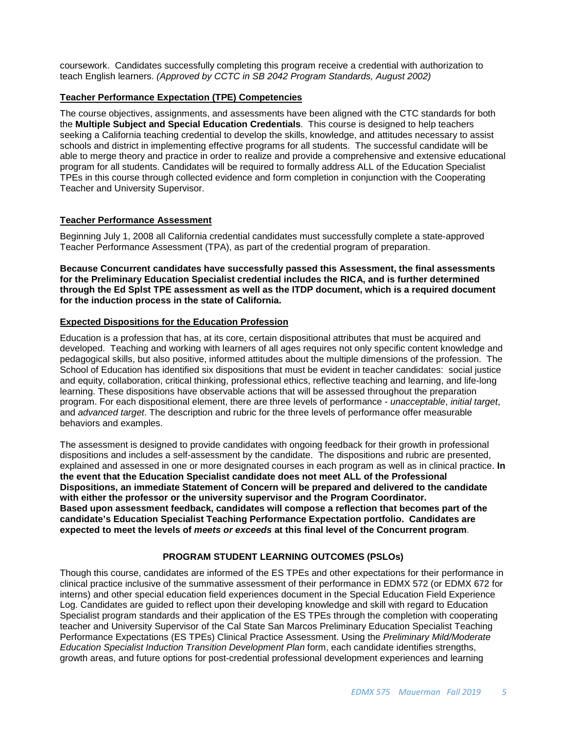coursework. Candidates successfully completing this program receive a credential with authorization to teach English learners. *(Approved by CCTC in SB 2042 Program Standards, August 2002)*

## <span id="page-4-0"></span>**Teacher Performance Expectation (TPE) Competencies**

The course objectives, assignments, and assessments have been aligned with the CTC standards for both the **Multiple Subject and Special Education Credentials**. This course is designed to help teachers seeking a California teaching credential to develop the skills, knowledge, and attitudes necessary to assist schools and district in implementing effective programs for all students. The successful candidate will be able to merge theory and practice in order to realize and provide a comprehensive and extensive educational program for all students. Candidates will be required to formally address ALL of the Education Specialist TPEs in this course through collected evidence and form completion in conjunction with the Cooperating Teacher and University Supervisor.

## <span id="page-4-1"></span>**Teacher Performance Assessment**

Beginning July 1, 2008 all California credential candidates must successfully complete a state-approved Teacher Performance Assessment (TPA), as part of the credential program of preparation.

#### **Because Concurrent candidates have successfully passed this Assessment, the final assessments for the Preliminary Education Specialist credential includes the RICA, and is further determined through the Ed Splst TPE assessment as well as the ITDP document, which is a required document for the induction process in the state of California.**

#### <span id="page-4-2"></span>**Expected Dispositions for the Education Profession**

Education is a profession that has, at its core, certain dispositional attributes that must be acquired and developed. Teaching and working with learners of all ages requires not only specific content knowledge and pedagogical skills, but also positive, informed attitudes about the multiple dimensions of the profession. The School of Education has identified six dispositions that must be evident in teacher candidates: social justice and equity, collaboration, critical thinking, professional ethics, reflective teaching and learning, and life-long learning. These dispositions have observable actions that will be assessed throughout the preparation program. For each dispositional element, there are three levels of performance - *unacceptable*, *initial target*, and *advanced target*. The description and rubric for the three levels of performance offer measurable behaviors and examples.

The assessment is designed to provide candidates with ongoing feedback for their growth in professional dispositions and includes a self-assessment by the candidate. The dispositions and rubric are presented, explained and assessed in one or more designated courses in each program as well as in clinical practice. **In the event that the Education Specialist candidate does not meet ALL of the Professional Dispositions, an immediate Statement of Concern will be prepared and delivered to the candidate with either the professor or the university supervisor and the Program Coordinator. Based upon assessment feedback, candidates will compose a reflection that becomes part of the candidate's Education Specialist Teaching Performance Expectation portfolio. Candidates are expected to meet the levels of** *meets or exceeds* **at this final level of the Concurrent program.**

## **PROGRAM STUDENT LEARNING OUTCOMES (PSLOs)**

<span id="page-4-3"></span>Though this course, candidates are informed of the ES TPEs and other expectations for their performance in clinical practice inclusive of the summative assessment of their performance in EDMX 572 (or EDMX 672 for interns) and other special education field experiences document in the Special Education Field Experience Log. Candidates are guided to reflect upon their developing knowledge and skill with regard to Education Specialist program standards and their application of the ES TPEs through the completion with cooperating teacher and University Supervisor of the Cal State San Marcos Preliminary Education Specialist Teaching Performance Expectations (ES TPEs) Clinical Practice Assessment. Using the *Preliminary Mild/Moderate Education Specialist Induction Transition Development Plan* form, each candidate identifies strengths, growth areas, and future options for post-credential professional development experiences and learning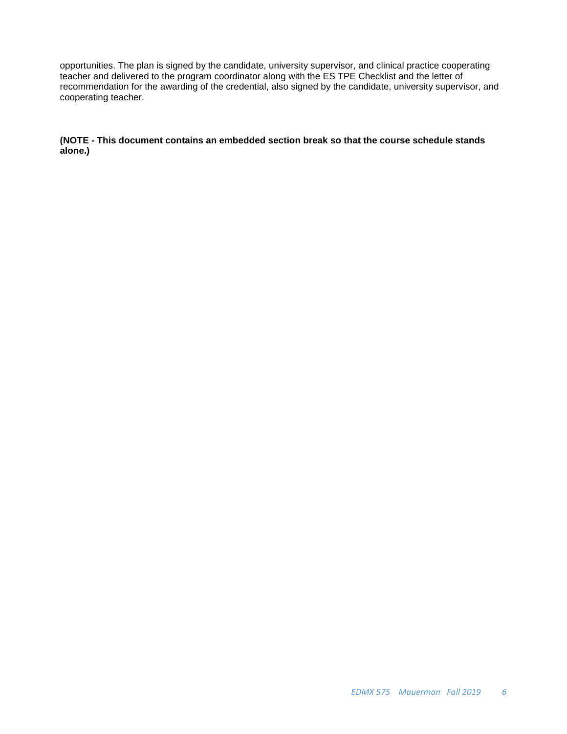opportunities. The plan is signed by the candidate, university supervisor, and clinical practice cooperating teacher and delivered to the program coordinator along with the ES TPE Checklist and the letter of recommendation for the awarding of the credential, also signed by the candidate, university supervisor, and cooperating teacher.

**(NOTE - This document contains an embedded section break so that the course schedule stands alone.)**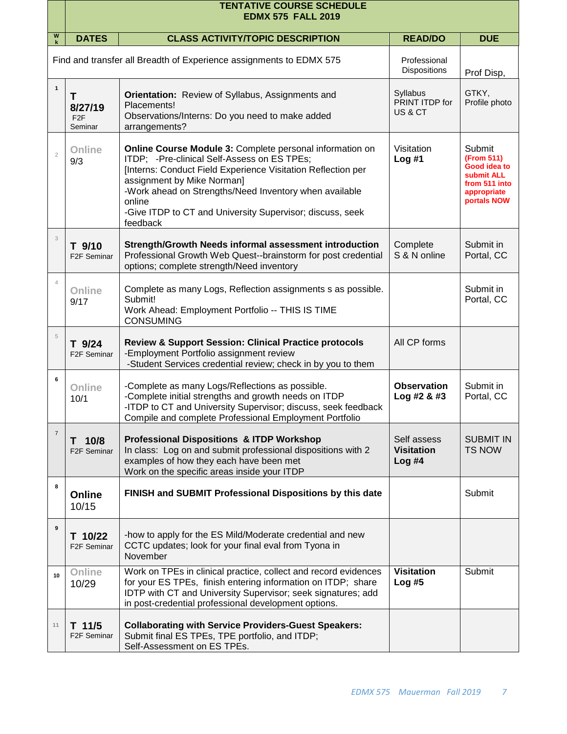|                           | <b>TENTATIVE COURSE SCHEDULE</b><br><b>EDMX 575 FALL 2019</b>       |                                                                                                                                                                                                                                                                                                                                                    |                                           |                                                                                                   |  |  |
|---------------------------|---------------------------------------------------------------------|----------------------------------------------------------------------------------------------------------------------------------------------------------------------------------------------------------------------------------------------------------------------------------------------------------------------------------------------------|-------------------------------------------|---------------------------------------------------------------------------------------------------|--|--|
| W                         | <b>DATES</b>                                                        | <b>CLASS ACTIVITY/TOPIC DESCRIPTION</b>                                                                                                                                                                                                                                                                                                            | <b>READ/DO</b>                            | <b>DUE</b>                                                                                        |  |  |
|                           | Find and transfer all Breadth of Experience assignments to EDMX 575 |                                                                                                                                                                                                                                                                                                                                                    | Professional<br><b>Dispositions</b>       | Prof Disp,                                                                                        |  |  |
| $\mathbf{1}$              | Τ<br>8/27/19<br>F <sub>2F</sub><br>Seminar                          | <b>Orientation:</b> Review of Syllabus, Assignments and<br>Placements!<br>Observations/Interns: Do you need to make added<br>arrangements?                                                                                                                                                                                                         | Syllabus<br>PRINT ITDP for<br>US & CT     | GTKY,<br>Profile photo                                                                            |  |  |
| $\overline{c}$            | Online<br>9/3                                                       | Online Course Module 3: Complete personal information on<br>ITDP; -Pre-clinical Self-Assess on ES TPEs;<br>[Interns: Conduct Field Experience Visitation Reflection per<br>assignment by Mike Norman]<br>-Work ahead on Strengths/Need Inventory when available<br>online<br>-Give ITDP to CT and University Supervisor; discuss, seek<br>feedback | Visitation<br>Log#1                       | Submit<br>(From 511)<br>Good idea to<br>submit ALL<br>from 511 into<br>appropriate<br>portals NOW |  |  |
| $\ensuremath{\mathsf{3}}$ | T 9/10<br>F <sub>2</sub> F Seminar                                  | Strength/Growth Needs informal assessment introduction<br>Professional Growth Web Quest--brainstorm for post credential<br>options; complete strength/Need inventory                                                                                                                                                                               | Complete<br>S & N online                  | Submit in<br>Portal, CC                                                                           |  |  |
| $\overline{4}$            | Online<br>9/17                                                      | Complete as many Logs, Reflection assignments s as possible.<br>Submit!<br>Work Ahead: Employment Portfolio -- THIS IS TIME<br><b>CONSUMING</b>                                                                                                                                                                                                    |                                           | Submit in<br>Portal, CC                                                                           |  |  |
| 5                         | T 9/24<br>F <sub>2</sub> F Seminar                                  | <b>Review &amp; Support Session: Clinical Practice protocols</b><br>-Employment Portfolio assignment review<br>-Student Services credential review; check in by you to them                                                                                                                                                                        | All CP forms                              |                                                                                                   |  |  |
| 6                         | Online<br>10/1                                                      | -Complete as many Logs/Reflections as possible.<br>-Complete initial strengths and growth needs on ITDP<br>-ITDP to CT and University Supervisor; discuss, seek feedback<br>Compile and complete Professional Employment Portfolio                                                                                                                 | <b>Observation</b><br>Log #2 & 43         | Submit in<br>Portal, CC                                                                           |  |  |
| $\overline{7}$            | T 10/8<br>F <sub>2</sub> F Seminar                                  | <b>Professional Dispositions &amp; ITDP Workshop</b><br>In class: Log on and submit professional dispositions with 2<br>examples of how they each have been met<br>Work on the specific areas inside your ITDP                                                                                                                                     | Self assess<br><b>Visitation</b><br>Log#4 | <b>SUBMIT IN</b><br><b>TS NOW</b>                                                                 |  |  |
| 8                         | Online<br>10/15                                                     | FINISH and SUBMIT Professional Dispositions by this date                                                                                                                                                                                                                                                                                           |                                           | Submit                                                                                            |  |  |
| 9                         | T 10/22<br>F <sub>2</sub> F Seminar                                 | -how to apply for the ES Mild/Moderate credential and new<br>CCTC updates; look for your final eval from Tyona in<br>November                                                                                                                                                                                                                      |                                           |                                                                                                   |  |  |
| 10                        | Online<br>10/29                                                     | Work on TPEs in clinical practice, collect and record evidences<br>for your ES TPEs, finish entering information on ITDP; share<br>IDTP with CT and University Supervisor; seek signatures; add<br>in post-credential professional development options.                                                                                            | <b>Visitation</b><br>Log#5                | Submit                                                                                            |  |  |
| 11                        | $T$ 11/5<br>F <sub>2</sub> F Seminar                                | <b>Collaborating with Service Providers-Guest Speakers:</b><br>Submit final ES TPEs, TPE portfolio, and ITDP;<br>Self-Assessment on ES TPEs.                                                                                                                                                                                                       |                                           |                                                                                                   |  |  |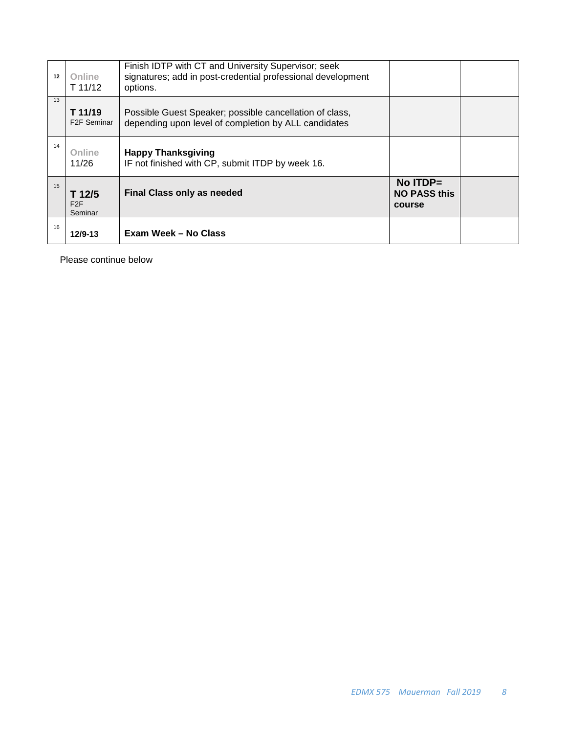| 12 | <b>Online</b><br>T 11/12            | Finish IDTP with CT and University Supervisor; seek<br>signatures; add in post-credential professional development<br>options. |                                                |  |
|----|-------------------------------------|--------------------------------------------------------------------------------------------------------------------------------|------------------------------------------------|--|
| 13 | T 11/19<br>F <sub>2</sub> F Seminar | Possible Guest Speaker; possible cancellation of class,<br>depending upon level of completion by ALL candidates                |                                                |  |
| 14 | Online<br>11/26                     | <b>Happy Thanksgiving</b><br>IF not finished with CP, submit ITDP by week 16.                                                  |                                                |  |
| 15 | T 12/5<br>F2F<br>Seminar            | <b>Final Class only as needed</b>                                                                                              | $No$ ITDP $=$<br><b>NO PASS this</b><br>course |  |
| 16 | 12/9-13                             | Exam Week - No Class                                                                                                           |                                                |  |

Please continue below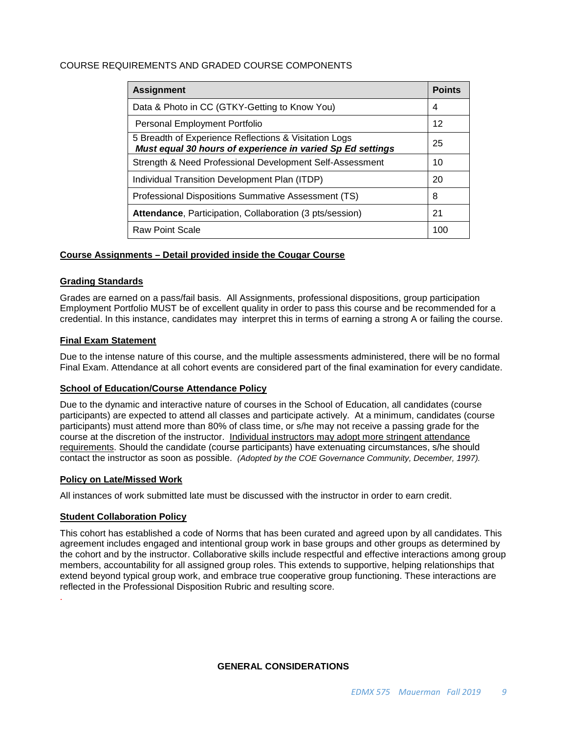## <span id="page-8-0"></span>COURSE REQUIREMENTS AND GRADED COURSE COMPONENTS

| <b>Assignment</b>                                                                                                   | <b>Points</b> |  |
|---------------------------------------------------------------------------------------------------------------------|---------------|--|
| Data & Photo in CC (GTKY-Getting to Know You)                                                                       |               |  |
| Personal Employment Portfolio                                                                                       |               |  |
| 5 Breadth of Experience Reflections & Visitation Logs<br>Must equal 30 hours of experience in varied Sp Ed settings | 25            |  |
| Strength & Need Professional Development Self-Assessment                                                            | 10            |  |
| Individual Transition Development Plan (ITDP)                                                                       |               |  |
| Professional Dispositions Summative Assessment (TS)                                                                 |               |  |
| Attendance, Participation, Collaboration (3 pts/session)                                                            |               |  |
| <b>Raw Point Scale</b>                                                                                              | 100           |  |

#### <span id="page-8-1"></span>**Course Assignments – Detail provided inside the Cougar Course**

## <span id="page-8-2"></span>**Grading Standards**

Grades are earned on a pass/fail basis. All Assignments, professional dispositions, group participation Employment Portfolio MUST be of excellent quality in order to pass this course and be recommended for a credential. In this instance, candidates may interpret this in terms of earning a strong A or failing the course.

## <span id="page-8-3"></span>**Final Exam Statement**

Due to the intense nature of this course, and the multiple assessments administered, there will be no formal Final Exam. Attendance at all cohort events are considered part of the final examination for every candidate.

#### <span id="page-8-4"></span>**School of Education/Course Attendance Policy**

Due to the dynamic and interactive nature of courses in the School of Education, all candidates (course participants) are expected to attend all classes and participate actively. At a minimum, candidates (course participants) must attend more than 80% of class time, or s/he may not receive a passing grade for the course at the discretion of the instructor. Individual instructors may adopt more stringent attendance requirements. Should the candidate (course participants) have extenuating circumstances, s/he should contact the instructor as soon as possible. *(Adopted by the COE Governance Community, December, 1997).*

#### <span id="page-8-5"></span>**Policy on Late/Missed Work**

All instances of work submitted late must be discussed with the instructor in order to earn credit.

#### <span id="page-8-6"></span>**Student Collaboration Policy**

<span id="page-8-7"></span>.

This cohort has established a code of Norms that has been curated and agreed upon by all candidates. This agreement includes engaged and intentional group work in base groups and other groups as determined by the cohort and by the instructor. Collaborative skills include respectful and effective interactions among group members, accountability for all assigned group roles. This extends to supportive, helping relationships that extend beyond typical group work, and embrace true cooperative group functioning. These interactions are reflected in the Professional Disposition Rubric and resulting score.

## **GENERAL CONSIDERATIONS**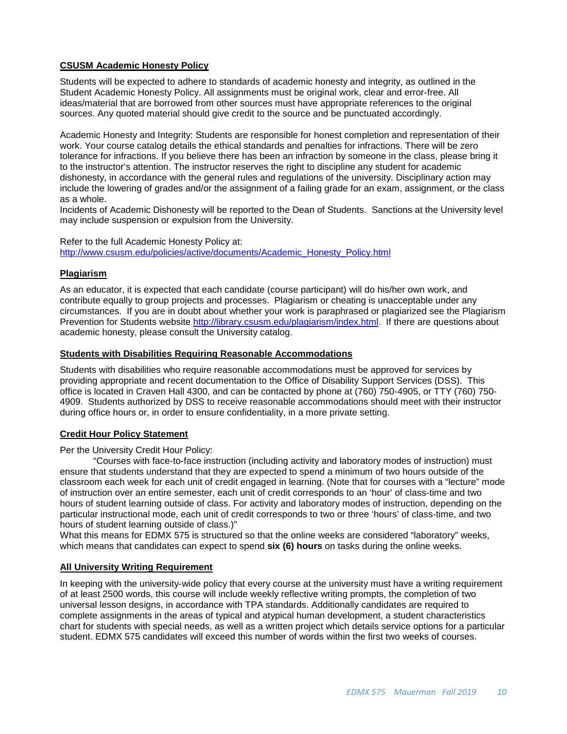## <span id="page-9-0"></span>**CSUSM Academic Honesty Policy**

Students will be expected to adhere to standards of academic honesty and integrity, as outlined in the Student Academic Honesty Policy. All assignments must be original work, clear and error-free. All ideas/material that are borrowed from other sources must have appropriate references to the original sources. Any quoted material should give credit to the source and be punctuated accordingly.

Academic Honesty and Integrity: Students are responsible for honest completion and representation of their work. Your course catalog details the ethical standards and penalties for infractions. There will be zero tolerance for infractions. If you believe there has been an infraction by someone in the class, please bring it to the instructor's attention. The instructor reserves the right to discipline any student for academic dishonesty, in accordance with the general rules and regulations of the university. Disciplinary action may include the lowering of grades and/or the assignment of a failing grade for an exam, assignment, or the class as a whole.

Incidents of Academic Dishonesty will be reported to the Dean of Students. Sanctions at the University level may include suspension or expulsion from the University.

Refer to the full Academic Honesty Policy at: [http://www.csusm.edu/policies/active/documents/Academic\\_Honesty\\_Policy.html](http://www.csusm.edu/policies/active/documents/Academic_Honesty_Policy.html)

## <span id="page-9-1"></span>**Plagiarism**

As an educator, it is expected that each candidate (course participant) will do his/her own work, and contribute equally to group projects and processes. Plagiarism or cheating is unacceptable under any circumstances. If you are in doubt about whether your work is paraphrased or plagiarized see the Plagiarism Prevention for Students website [http://library.csusm.edu/plagiarism/index.html.](http://library.csusm.edu/plagiarism/index.html) If there are questions about academic honesty, please consult the University catalog.

#### <span id="page-9-2"></span>**Students with Disabilities Requiring Reasonable Accommodations**

Students with disabilities who require reasonable accommodations must be approved for services by providing appropriate and recent documentation to the Office of Disability Support Services (DSS). This office is located in Craven Hall 4300, and can be contacted by phone at (760) 750-4905, or TTY (760) 750- 4909. Students authorized by DSS to receive reasonable accommodations should meet with their instructor during office hours or, in order to ensure confidentiality, in a more private setting.

## <span id="page-9-3"></span>**Credit Hour Policy Statement**

Per the University Credit Hour Policy:

"Courses with face-to-face instruction (including activity and laboratory modes of instruction) must ensure that students understand that they are expected to spend a minimum of two hours outside of the classroom each week for each unit of credit engaged in learning. (Note that for courses with a "lecture" mode of instruction over an entire semester, each unit of credit corresponds to an 'hour' of class-time and two hours of student learning outside of class. For activity and laboratory modes of instruction, depending on the particular instructional mode, each unit of credit corresponds to two or three 'hours' of class-time, and two hours of student learning outside of class.)"

What this means for EDMX 575 is structured so that the online weeks are considered "laboratory" weeks, which means that candidates can expect to spend **six (6) hours** on tasks during the online weeks.

## <span id="page-9-4"></span>**All University Writing Requirement**

In keeping with the university-wide policy that every course at the university must have a writing requirement of at least 2500 words, this course will include weekly reflective writing prompts, the completion of two universal lesson designs, in accordance with TPA standards. Additionally candidates are required to complete assignments in the areas of typical and atypical human development, a student characteristics chart for students with special needs, as well as a written project which details service options for a particular student. EDMX 575 candidates will exceed this number of words within the first two weeks of courses.